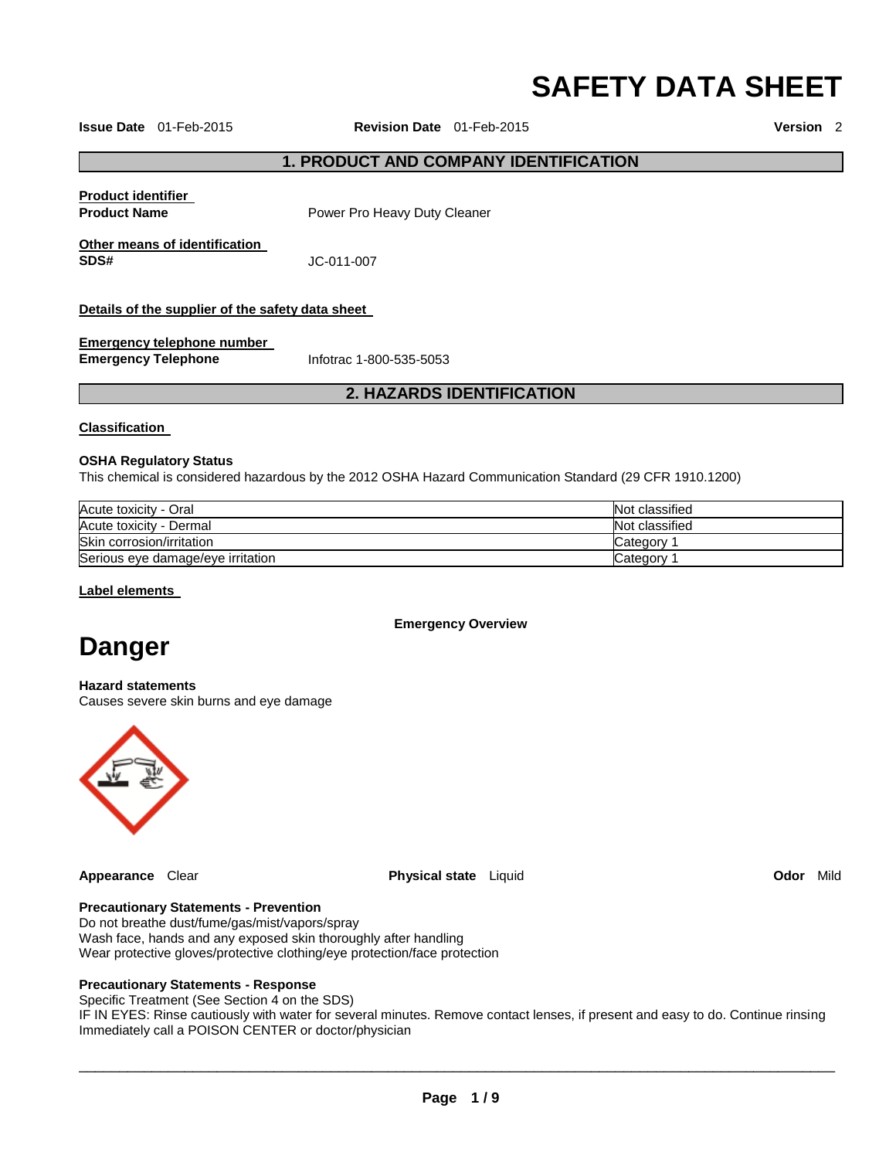# **SAFETY DATA SHEET**

**Issue Date** 01-Feb-2015 **Revision Date** 01-Feb-2015 **Version** 2

#### **1. PRODUCT AND COMPANY IDENTIFICATION**

**Product identifier** 

**Product Name Product Name Power Pro Heavy Duty Cleaner** 

**Other means of identification SDS#** JC-011-007

**Details of the supplier of the safety data sheet** 

**Emergency telephone number Emergency Telephone** Infotrac 1-800-535-5053

## **2. HAZARDS IDENTIFICATION**

#### **Classification**

#### **OSHA Regulatory Status**

This chemical is considered hazardous by the 2012 OSHA Hazard Communication Standard (29 CFR 1910.1200)

| Acute toxicity - Oral             | Not classified |
|-----------------------------------|----------------|
| Acute toxicity - Dermal           | Not classified |
| Skin corrosion/irritation         | Category       |
| Serious eye damage/eye irritation | Category       |

**Label elements** 

**Emergency Overview** 

## **Danger**

**Hazard statements** Causes severe skin burns and eye damage



**Appearance** Clear **Physical state** Liquid **Odor** Mild

#### **Precautionary Statements - Prevention**

Do not breathe dust/fume/gas/mist/vapors/spray Wash face, hands and any exposed skin thoroughly after handling Wear protective gloves/protective clothing/eye protection/face protection

#### **Precautionary Statements - Response**

Specific Treatment (See Section 4 on the SDS)

IF IN EYES: Rinse cautiously with water for several minutes. Remove contact lenses, if present and easy to do. Continue rinsing Immediately call a POISON CENTER or doctor/physician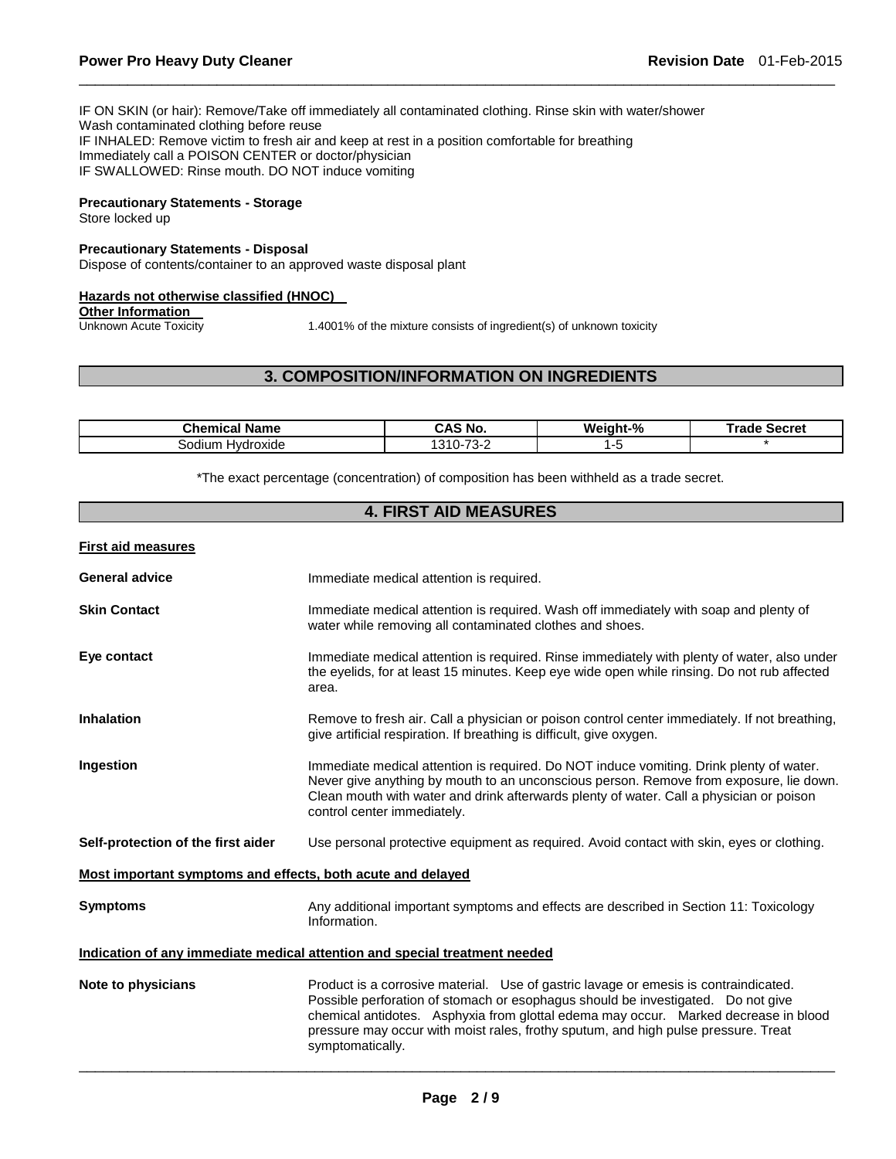IF ON SKIN (or hair): Remove/Take off immediately all contaminated clothing. Rinse skin with water/shower Wash contaminated clothing before reuse IF INHALED: Remove victim to fresh air and keep at rest in a position comfortable for breathing Immediately call a POISON CENTER or doctor/physician IF SWALLOWED: Rinse mouth. DO NOT induce vomiting

#### **Precautionary Statements - Storage**

Store locked up

#### **Precautionary Statements - Disposal**

Dispose of contents/container to an approved waste disposal plant

#### **Hazards not otherwise classified (HNOC)**

## **Other Information**<br>Unknown Acute Toxicity

1.4001% of the mixture consists of ingredient(s) of unknown toxicity

#### **3. COMPOSITION/INFORMATION ON INGREDIENTS**

\_\_\_\_\_\_\_\_\_\_\_\_\_\_\_\_\_\_\_\_\_\_\_\_\_\_\_\_\_\_\_\_\_\_\_\_\_\_\_\_\_\_\_\_\_\_\_\_\_\_\_\_\_\_\_\_\_\_\_\_\_\_\_\_\_\_\_\_\_\_\_\_\_\_\_\_\_\_\_\_\_\_\_\_\_\_\_\_\_\_\_\_\_

| <b>Name</b><br>Chemical | <b>CAS No.</b>                                         | Weight-% | ™rade<br>Secret |
|-------------------------|--------------------------------------------------------|----------|-----------------|
| Hvdroxide<br>sodium     | $\overline{\phantom{a}}$<br>$\Omega$<br>``<br>.<br>ــت | . .      |                 |

\*The exact percentage (concentration) of composition has been withheld as a trade secret.

#### **4. FIRST AID MEASURES**

#### **First aid measures**

| <b>General advice</b>                                       | Immediate medical attention is required.                                                                                                                                                                                                                                                                                                                                   |
|-------------------------------------------------------------|----------------------------------------------------------------------------------------------------------------------------------------------------------------------------------------------------------------------------------------------------------------------------------------------------------------------------------------------------------------------------|
| <b>Skin Contact</b>                                         | Immediate medical attention is required. Wash off immediately with soap and plenty of<br>water while removing all contaminated clothes and shoes.                                                                                                                                                                                                                          |
| Eye contact                                                 | Immediate medical attention is required. Rinse immediately with plenty of water, also under<br>the eyelids, for at least 15 minutes. Keep eye wide open while rinsing. Do not rub affected<br>area.                                                                                                                                                                        |
| <b>Inhalation</b>                                           | Remove to fresh air. Call a physician or poison control center immediately. If not breathing,<br>give artificial respiration. If breathing is difficult, give oxygen.                                                                                                                                                                                                      |
| <b>Ingestion</b>                                            | Immediate medical attention is required. Do NOT induce vomiting. Drink plenty of water.<br>Never give anything by mouth to an unconscious person. Remove from exposure, lie down.<br>Clean mouth with water and drink afterwards plenty of water. Call a physician or poison<br>control center immediately.                                                                |
| Self-protection of the first aider                          | Use personal protective equipment as required. Avoid contact with skin, eyes or clothing.                                                                                                                                                                                                                                                                                  |
| Most important symptoms and effects, both acute and delayed |                                                                                                                                                                                                                                                                                                                                                                            |
| <b>Symptoms</b>                                             | Any additional important symptoms and effects are described in Section 11: Toxicology<br>Information.                                                                                                                                                                                                                                                                      |
|                                                             | Indication of any immediate medical attention and special treatment needed                                                                                                                                                                                                                                                                                                 |
| Note to physicians                                          | Product is a corrosive material. Use of gastric lavage or emesis is contraindicated.<br>Possible perforation of stomach or esophagus should be investigated.  Do not give<br>chemical antidotes. Asphyxia from glottal edema may occur. Marked decrease in blood<br>pressure may occur with moist rales, frothy sputum, and high pulse pressure. Treat<br>symptomatically. |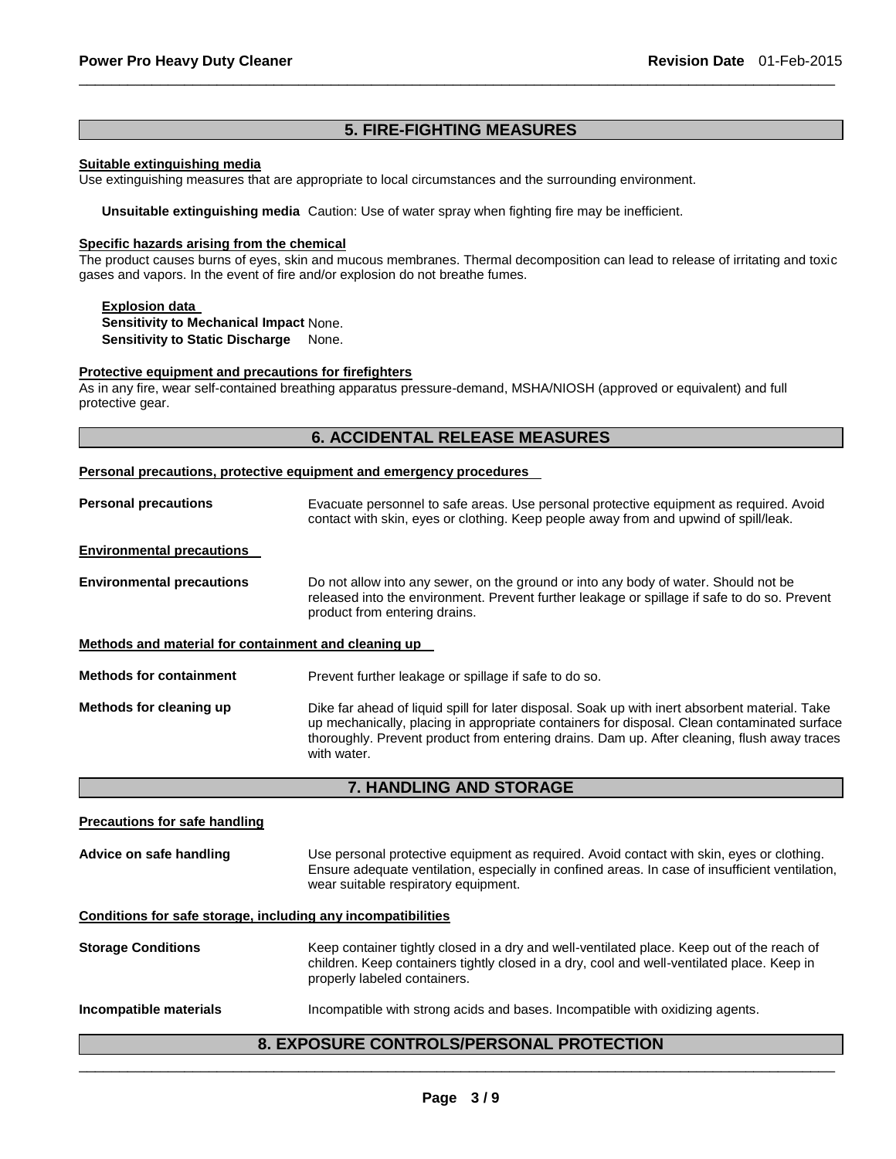## **5. FIRE-FIGHTING MEASURES**

\_\_\_\_\_\_\_\_\_\_\_\_\_\_\_\_\_\_\_\_\_\_\_\_\_\_\_\_\_\_\_\_\_\_\_\_\_\_\_\_\_\_\_\_\_\_\_\_\_\_\_\_\_\_\_\_\_\_\_\_\_\_\_\_\_\_\_\_\_\_\_\_\_\_\_\_\_\_\_\_\_\_\_\_\_\_\_\_\_\_\_\_\_

#### **Suitable extinguishing media**

Use extinguishing measures that are appropriate to local circumstances and the surrounding environment.

**Unsuitable extinguishing media** Caution: Use of water spray when fighting fire may be inefficient.

#### **Specific hazards arising from the chemical**

The product causes burns of eyes, skin and mucous membranes. Thermal decomposition can lead to release of irritating and toxic gases and vapors. In the event of fire and/or explosion do not breathe fumes.

#### **Explosion data**

**Sensitivity to Mechanical Impact** None. **Sensitivity to Static Discharge** None.

#### **Protective equipment and precautions for firefighters**

As in any fire, wear self-contained breathing apparatus pressure-demand, MSHA/NIOSH (approved or equivalent) and full protective gear.

## **6. ACCIDENTAL RELEASE MEASURES**

#### **Personal precautions, protective equipment and emergency procedures**

| <b>Personal precautions</b>                          | Evacuate personnel to safe areas. Use personal protective equipment as required. Avoid<br>contact with skin, eyes or clothing. Keep people away from and upwind of spill/leak.                                                                                                                              |
|------------------------------------------------------|-------------------------------------------------------------------------------------------------------------------------------------------------------------------------------------------------------------------------------------------------------------------------------------------------------------|
| <b>Environmental precautions</b>                     |                                                                                                                                                                                                                                                                                                             |
| <b>Environmental precautions</b>                     | Do not allow into any sewer, on the ground or into any body of water. Should not be<br>released into the environment. Prevent further leakage or spillage if safe to do so. Prevent<br>product from entering drains.                                                                                        |
| Methods and material for containment and cleaning up |                                                                                                                                                                                                                                                                                                             |
| <b>Methods for containment</b>                       | Prevent further leakage or spillage if safe to do so.                                                                                                                                                                                                                                                       |
| Methods for cleaning up                              | Dike far ahead of liquid spill for later disposal. Soak up with inert absorbent material. Take<br>up mechanically, placing in appropriate containers for disposal. Clean contaminated surface<br>thoroughly. Prevent product from entering drains. Dam up. After cleaning, flush away traces<br>with water. |

## **7. HANDLING AND STORAGE**

| <b>Precautions for safe handling</b>                         |                                                                                                                                                                                                                                      |
|--------------------------------------------------------------|--------------------------------------------------------------------------------------------------------------------------------------------------------------------------------------------------------------------------------------|
| Advice on safe handling                                      | Use personal protective equipment as required. Avoid contact with skin, eyes or clothing.<br>Ensure adequate ventilation, especially in confined areas. In case of insufficient ventilation,<br>wear suitable respiratory equipment. |
| Conditions for safe storage, including any incompatibilities |                                                                                                                                                                                                                                      |
| <b>Storage Conditions</b>                                    | Keep container tightly closed in a dry and well-ventilated place. Keep out of the reach of<br>children. Keep containers tightly closed in a dry, cool and well-ventilated place. Keep in<br>properly labeled containers.             |
| Incompatible materials                                       | Incompatible with strong acids and bases. Incompatible with oxidizing agents.                                                                                                                                                        |

## \_\_\_\_\_\_\_\_\_\_\_\_\_\_\_\_\_\_\_\_\_\_\_\_\_\_\_\_\_\_\_\_\_\_\_\_\_\_\_\_\_\_\_\_\_\_\_\_\_\_\_\_\_\_\_\_\_\_\_\_\_\_\_\_\_\_\_\_\_\_\_\_\_\_\_\_\_\_\_\_\_\_\_\_\_\_\_\_\_\_\_\_\_ **8. EXPOSURE CONTROLS/PERSONAL PROTECTION**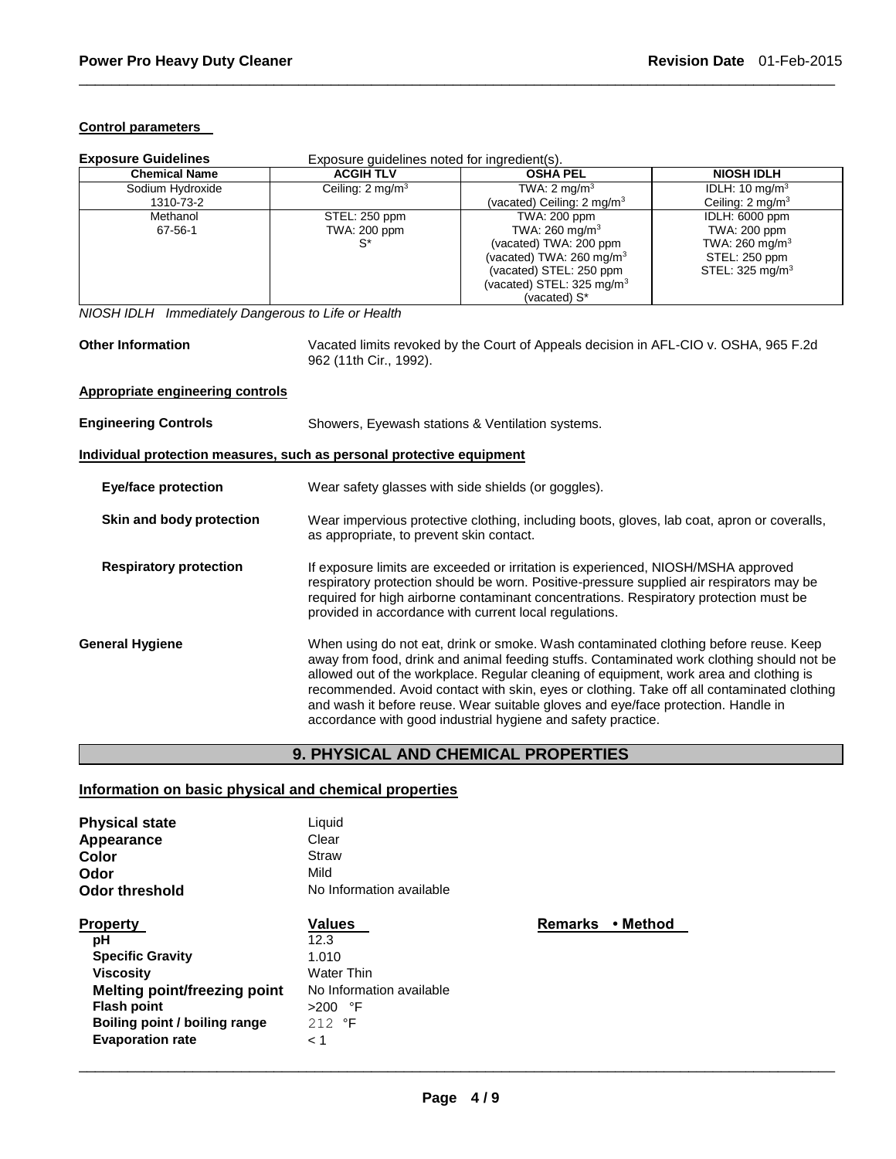#### **Control parameters**

| <b>Exposure Guidelines</b>                                            | Exposure guidelines noted for ingredient(s).                                                                                                                                                                                                                                                                                     |                                                                                                                                                                                                                                                                                                                                                                                                                                                                                                                                |                             |  |
|-----------------------------------------------------------------------|----------------------------------------------------------------------------------------------------------------------------------------------------------------------------------------------------------------------------------------------------------------------------------------------------------------------------------|--------------------------------------------------------------------------------------------------------------------------------------------------------------------------------------------------------------------------------------------------------------------------------------------------------------------------------------------------------------------------------------------------------------------------------------------------------------------------------------------------------------------------------|-----------------------------|--|
| <b>Chemical Name</b>                                                  | <b>ACGIH TLV</b>                                                                                                                                                                                                                                                                                                                 | <b>OSHA PEL</b>                                                                                                                                                                                                                                                                                                                                                                                                                                                                                                                | <b>NIOSH IDLH</b>           |  |
| Sodium Hydroxide                                                      | Ceiling: 2 mg/m <sup>3</sup>                                                                                                                                                                                                                                                                                                     | TWA: $2 \text{ mg/m}^3$                                                                                                                                                                                                                                                                                                                                                                                                                                                                                                        | IDLH: 10 mg/m <sup>3</sup>  |  |
| 1310-73-2                                                             |                                                                                                                                                                                                                                                                                                                                  | (vacated) Ceiling: 2 mg/m <sup>3</sup>                                                                                                                                                                                                                                                                                                                                                                                                                                                                                         | Ceiling: $2 \text{ mg/m}^3$ |  |
| Methanol                                                              | STEL: 250 ppm                                                                                                                                                                                                                                                                                                                    | TWA: 200 ppm                                                                                                                                                                                                                                                                                                                                                                                                                                                                                                                   | IDLH: 6000 ppm              |  |
| 67-56-1                                                               | TWA: 200 ppm                                                                                                                                                                                                                                                                                                                     | TWA: 260 mg/m <sup>3</sup>                                                                                                                                                                                                                                                                                                                                                                                                                                                                                                     | TWA: 200 ppm                |  |
|                                                                       | $S^*$                                                                                                                                                                                                                                                                                                                            | (vacated) TWA: 200 ppm                                                                                                                                                                                                                                                                                                                                                                                                                                                                                                         | TWA: 260 mg/m <sup>3</sup>  |  |
|                                                                       |                                                                                                                                                                                                                                                                                                                                  | (vacated) TWA: $260 \text{ mg/m}^3$                                                                                                                                                                                                                                                                                                                                                                                                                                                                                            | STEL: 250 ppm               |  |
|                                                                       |                                                                                                                                                                                                                                                                                                                                  | (vacated) STEL: 250 ppm                                                                                                                                                                                                                                                                                                                                                                                                                                                                                                        | STEL: 325 mg/m <sup>3</sup> |  |
|                                                                       |                                                                                                                                                                                                                                                                                                                                  | (vacated) STEL: 325 mg/m <sup>3</sup>                                                                                                                                                                                                                                                                                                                                                                                                                                                                                          |                             |  |
|                                                                       |                                                                                                                                                                                                                                                                                                                                  | (vacated) S*                                                                                                                                                                                                                                                                                                                                                                                                                                                                                                                   |                             |  |
| NIOSH IDLH Immediately Dangerous to Life or Health                    |                                                                                                                                                                                                                                                                                                                                  |                                                                                                                                                                                                                                                                                                                                                                                                                                                                                                                                |                             |  |
| <b>Other Information</b>                                              | 962 (11th Cir., 1992).                                                                                                                                                                                                                                                                                                           | Vacated limits revoked by the Court of Appeals decision in AFL-CIO v. OSHA, 965 F.2d                                                                                                                                                                                                                                                                                                                                                                                                                                           |                             |  |
|                                                                       |                                                                                                                                                                                                                                                                                                                                  |                                                                                                                                                                                                                                                                                                                                                                                                                                                                                                                                |                             |  |
| <b>Appropriate engineering controls</b>                               |                                                                                                                                                                                                                                                                                                                                  |                                                                                                                                                                                                                                                                                                                                                                                                                                                                                                                                |                             |  |
| <b>Engineering Controls</b>                                           |                                                                                                                                                                                                                                                                                                                                  | Showers, Eyewash stations & Ventilation systems.                                                                                                                                                                                                                                                                                                                                                                                                                                                                               |                             |  |
| Individual protection measures, such as personal protective equipment |                                                                                                                                                                                                                                                                                                                                  |                                                                                                                                                                                                                                                                                                                                                                                                                                                                                                                                |                             |  |
| <b>Eye/face protection</b>                                            |                                                                                                                                                                                                                                                                                                                                  | Wear safety glasses with side shields (or goggles).                                                                                                                                                                                                                                                                                                                                                                                                                                                                            |                             |  |
| Skin and body protection                                              |                                                                                                                                                                                                                                                                                                                                  | Wear impervious protective clothing, including boots, gloves, lab coat, apron or coveralls,<br>as appropriate, to prevent skin contact.                                                                                                                                                                                                                                                                                                                                                                                        |                             |  |
| <b>Respiratory protection</b>                                         | If exposure limits are exceeded or irritation is experienced, NIOSH/MSHA approved<br>respiratory protection should be worn. Positive-pressure supplied air respirators may be<br>required for high airborne contaminant concentrations. Respiratory protection must be<br>provided in accordance with current local regulations. |                                                                                                                                                                                                                                                                                                                                                                                                                                                                                                                                |                             |  |
| <b>General Hygiene</b>                                                |                                                                                                                                                                                                                                                                                                                                  | When using do not eat, drink or smoke. Wash contaminated clothing before reuse. Keep<br>away from food, drink and animal feeding stuffs. Contaminated work clothing should not be<br>allowed out of the workplace. Regular cleaning of equipment, work area and clothing is<br>recommended. Avoid contact with skin, eyes or clothing. Take off all contaminated clothing<br>and wash it before reuse. Wear suitable gloves and eye/face protection. Handle in<br>accordance with good industrial hygiene and safety practice. |                             |  |

\_\_\_\_\_\_\_\_\_\_\_\_\_\_\_\_\_\_\_\_\_\_\_\_\_\_\_\_\_\_\_\_\_\_\_\_\_\_\_\_\_\_\_\_\_\_\_\_\_\_\_\_\_\_\_\_\_\_\_\_\_\_\_\_\_\_\_\_\_\_\_\_\_\_\_\_\_\_\_\_\_\_\_\_\_\_\_\_\_\_\_\_\_

## **9. PHYSICAL AND CHEMICAL PROPERTIES**

## **Information on basic physical and chemical properties**

| <b>Physical state</b>               | Liquid                   |       |
|-------------------------------------|--------------------------|-------|
| Appearance                          | Clear                    |       |
| Color                               | Straw                    |       |
| Odor                                | Mild                     |       |
| <b>Odor threshold</b>               | No Information available |       |
| <b>Property</b>                     | <b>Values</b>            | Remar |
| рH                                  | 12.3                     |       |
| <b>Specific Gravity</b>             | 1.010                    |       |
| <b>Viscosity</b>                    | <b>Water Thin</b>        |       |
| <b>Melting point/freezing point</b> | No Information available |       |
| <b>Flash point</b>                  | $>200$ °F                |       |
| Boiling point / boiling range       | $212$ °F                 |       |
| <b>Evaporation rate</b>             | < 1                      |       |
|                                     |                          |       |

**Property • Method**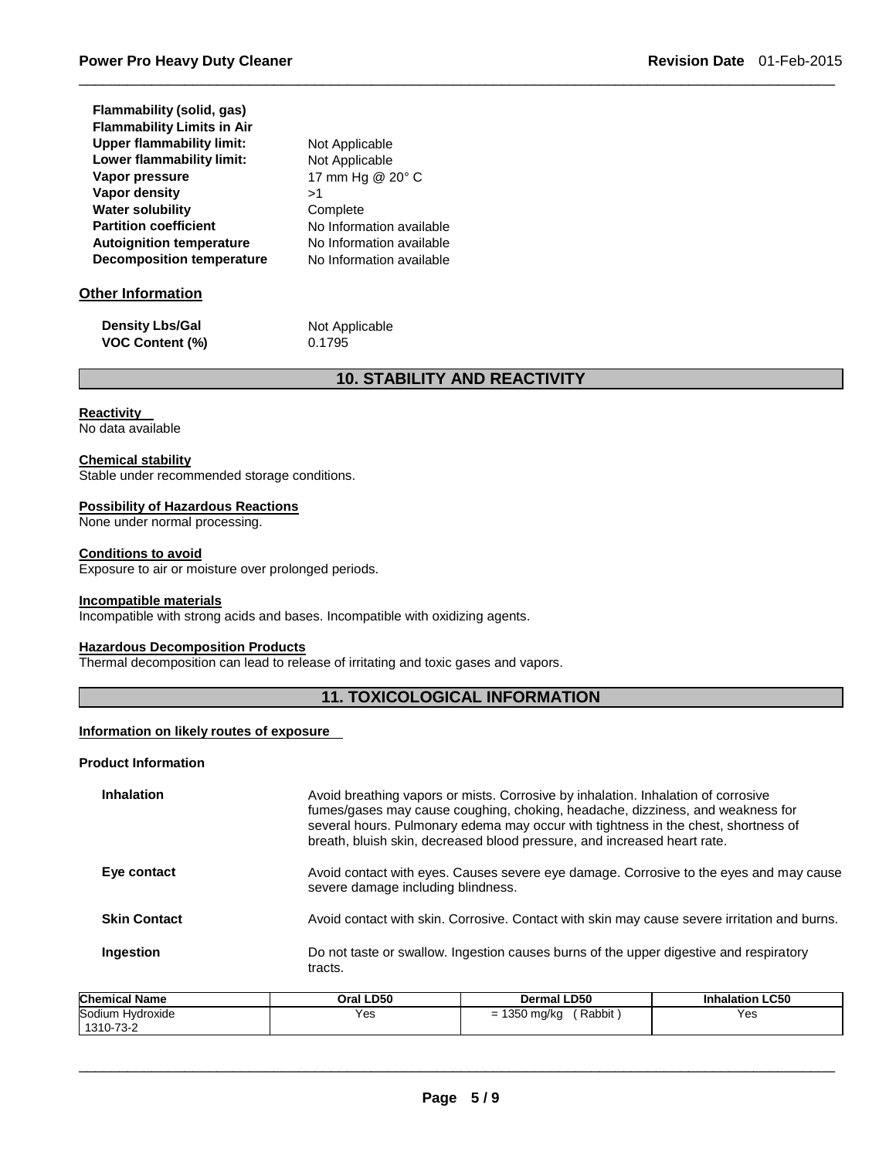| Flammability (solid, gas)         |     |
|-----------------------------------|-----|
| <b>Flammability Limits in Air</b> |     |
| <b>Upper flammability limit:</b>  | Noi |
| Lower flammability limit:         | No  |
| Vapor pressure                    | 17  |
| Vapor density                     | >1  |
| <b>Water solubility</b>           | Col |
| <b>Partition coefficient</b>      | Nο  |
| <b>Autoignition temperature</b>   | N٥  |
| <b>Decomposition temperature</b>  | N٥  |

**Not Applicable Not Applicable Vapor pressure** 17 mm Hg @ 20° C Complete **No Information available No Information available No Information available** 

### **Other Information**

**Density Lbs/Gal Not Applicable VOC Content (%)** 0.1795

## **10. STABILITY AND REACTIVITY**

\_\_\_\_\_\_\_\_\_\_\_\_\_\_\_\_\_\_\_\_\_\_\_\_\_\_\_\_\_\_\_\_\_\_\_\_\_\_\_\_\_\_\_\_\_\_\_\_\_\_\_\_\_\_\_\_\_\_\_\_\_\_\_\_\_\_\_\_\_\_\_\_\_\_\_\_\_\_\_\_\_\_\_\_\_\_\_\_\_\_\_\_\_

## **Reactivity**

No data available

#### **Chemical stability**

Stable under recommended storage conditions.

#### **Possibility of Hazardous Reactions**

None under normal processing.

#### **Conditions to avoid**

Exposure to air or moisture over prolonged periods.

#### **Incompatible materials**

Incompatible with strong acids and bases. Incompatible with oxidizing agents.

#### **Hazardous Decomposition Products**

Thermal decomposition can lead to release of irritating and toxic gases and vapors.

#### **11. TOXICOLOGICAL INFORMATION**

#### **Information on likely routes of exposure**

#### **Product Information**

| <b>Inhalation</b>   | Avoid breathing vapors or mists. Corrosive by inhalation. Inhalation of corrosive<br>fumes/gases may cause coughing, choking, headache, dizziness, and weakness for<br>several hours. Pulmonary edema may occur with tightness in the chest, shortness of<br>breath, bluish skin, decreased blood pressure, and increased heart rate. |
|---------------------|---------------------------------------------------------------------------------------------------------------------------------------------------------------------------------------------------------------------------------------------------------------------------------------------------------------------------------------|
| Eye contact         | Avoid contact with eyes. Causes severe eye damage. Corrosive to the eyes and may cause<br>severe damage including blindness.                                                                                                                                                                                                          |
| <b>Skin Contact</b> | Avoid contact with skin. Corrosive. Contact with skin may cause severe irritation and burns.                                                                                                                                                                                                                                          |
| Ingestion           | Do not taste or swallow. Ingestion causes burns of the upper digestive and respiratory<br>tracts.                                                                                                                                                                                                                                     |

| <b>Chemical Name</b>          | Oral LD50 | <b>Dermal LD50</b>                                    | <b>Inhalation LC50</b> |
|-------------------------------|-----------|-------------------------------------------------------|------------------------|
| Sodium Hydroxide<br>1310-73-2 | Yes       | Rabbit<br>1350 mg/kg<br>$\overline{\phantom{0}}$<br>- | Yes                    |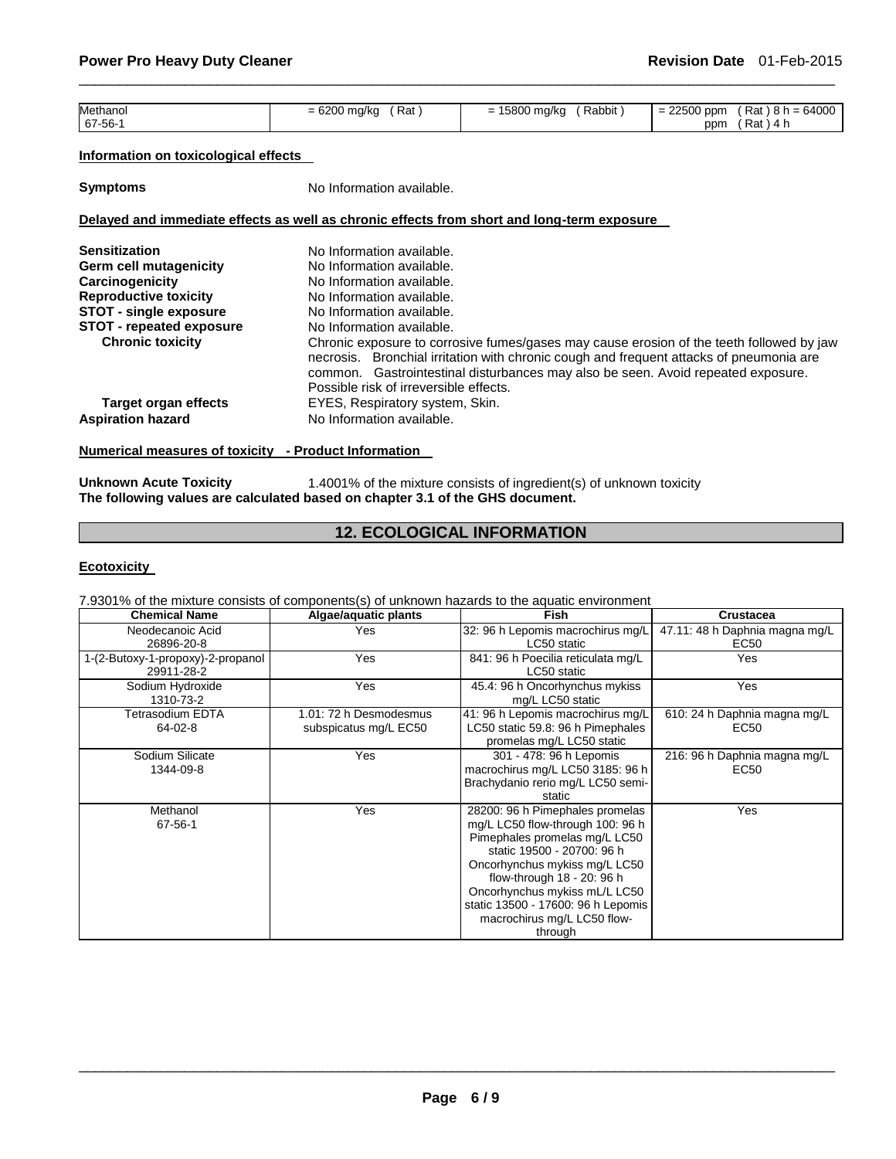| Methanol | Rat<br>6200<br>ma/ko<br>$\overline{\phantom{0}}$<br>$\cdot$ $\cdot$<br>. | Rabbit<br><b>EOOO</b><br>5800 ma/ka<br>$\overline{\phantom{0}}$<br>-<br>. . | 22500 ppm<br>$\overline{\phantom{0}}$<br>- - | $8 h = 64000$<br>Rat |
|----------|--------------------------------------------------------------------------|-----------------------------------------------------------------------------|----------------------------------------------|----------------------|
| $67-56-$ |                                                                          |                                                                             | ppm                                          | Rat<br>. 4 r         |

\_\_\_\_\_\_\_\_\_\_\_\_\_\_\_\_\_\_\_\_\_\_\_\_\_\_\_\_\_\_\_\_\_\_\_\_\_\_\_\_\_\_\_\_\_\_\_\_\_\_\_\_\_\_\_\_\_\_\_\_\_\_\_\_\_\_\_\_\_\_\_\_\_\_\_\_\_\_\_\_\_\_\_\_\_\_\_\_\_\_\_\_\_

#### **Information on toxicological effects**

**Symptoms** No Information available.

#### **Delayed and immediate effects as well as chronic effects from short and long-term exposure**

| No Information available.<br>No Information available.                                                                                                                                                                                                                                                            |
|-------------------------------------------------------------------------------------------------------------------------------------------------------------------------------------------------------------------------------------------------------------------------------------------------------------------|
| No Information available.                                                                                                                                                                                                                                                                                         |
| No Information available.                                                                                                                                                                                                                                                                                         |
| No Information available.                                                                                                                                                                                                                                                                                         |
| No Information available.                                                                                                                                                                                                                                                                                         |
| Chronic exposure to corrosive fumes/gases may cause erosion of the teeth followed by jaw<br>necrosis. Bronchial irritation with chronic cough and frequent attacks of pneumonia are<br>common. Gastrointestinal disturbances may also be seen. Avoid repeated exposure.<br>Possible risk of irreversible effects. |
| EYES, Respiratory system, Skin.                                                                                                                                                                                                                                                                                   |
| No Information available.                                                                                                                                                                                                                                                                                         |
|                                                                                                                                                                                                                                                                                                                   |

## **Numerical measures of toxicity - Product Information**

**Unknown Acute Toxicity 1.4001% of the mixture consists of ingredient(s) of unknown toxicity The following values are calculated based on chapter 3.1 of the GHS document.**

## **12. ECOLOGICAL INFORMATION**

#### **Ecotoxicity**

7.9301% of the mixture consists of components(s) of unknown hazards to the aquatic environment

| <b>Chemical Name</b>              | Algae/aquatic plants   | <b>Fish</b>                        | Crustacea                      |
|-----------------------------------|------------------------|------------------------------------|--------------------------------|
| Neodecanoic Acid                  | Yes                    | 32: 96 h Lepomis macrochirus mg/L  | 47.11: 48 h Daphnia magna mg/L |
| 26896-20-8                        |                        | LC50 static                        | EC50                           |
| 1-(2-Butoxy-1-propoxy)-2-propanol | Yes                    | 841: 96 h Poecilia reticulata mg/L | Yes                            |
| 29911-28-2                        |                        | LC50 static                        |                                |
| Sodium Hydroxide                  | Yes                    | 45.4: 96 h Oncorhynchus mykiss     | Yes                            |
| 1310-73-2                         |                        | mg/L LC50 static                   |                                |
| Tetrasodium EDTA                  | 1.01: 72 h Desmodesmus | 41: 96 h Lepomis macrochirus mg/L  | 610: 24 h Daphnia magna mg/L   |
| 64-02-8                           | subspicatus mg/L EC50  | LC50 static 59.8: 96 h Pimephales  | EC50                           |
|                                   |                        | promelas mg/L LC50 static          |                                |
| Sodium Silicate                   | Yes                    | 301 - 478: 96 h Lepomis            | 216: 96 h Daphnia magna mg/L   |
| 1344-09-8                         |                        | macrochirus mg/L LC50 3185: 96 h   | EC50                           |
|                                   |                        | Brachydanio rerio mg/L LC50 semi-  |                                |
|                                   |                        | static                             |                                |
| Methanol                          | Yes                    | 28200: 96 h Pimephales promelas    | Yes                            |
| 67-56-1                           |                        | mg/L LC50 flow-through 100: 96 h   |                                |
|                                   |                        | Pimephales promelas mg/L LC50      |                                |
|                                   |                        | static 19500 - 20700: 96 h         |                                |
|                                   |                        | Oncorhynchus mykiss mg/L LC50      |                                |
|                                   |                        | flow-through 18 - 20: 96 h         |                                |
|                                   |                        | Oncorhynchus mykiss mL/L LC50      |                                |
|                                   |                        | static 13500 - 17600: 96 h Lepomis |                                |
|                                   |                        | macrochirus mg/L LC50 flow-        |                                |
|                                   |                        | through                            |                                |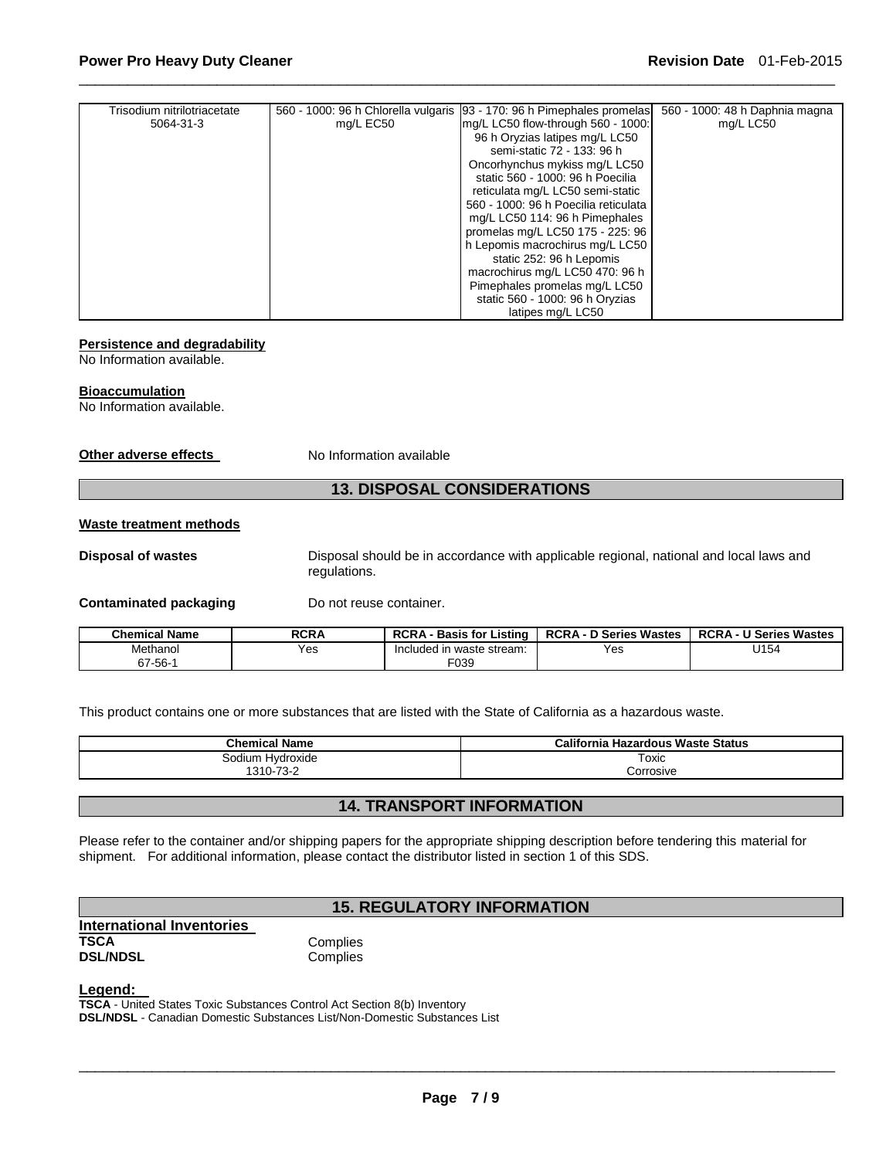| Trisodium nitrilotriacetate |           | 560 - 1000: 96 h Chlorella vulgaris [93 - 170: 96 h Pimephales promelas] | 560 - 1000: 48 h Daphnia magna |
|-----------------------------|-----------|--------------------------------------------------------------------------|--------------------------------|
| 5064-31-3                   | mg/L EC50 | mg/L LC50 flow-through 560 - 1000:                                       | mg/L LC50                      |
|                             |           | 96 h Oryzias latipes mg/L LC50                                           |                                |
|                             |           | semi-static 72 - 133: 96 h                                               |                                |
|                             |           | Oncorhynchus mykiss mg/L LC50                                            |                                |
|                             |           | static 560 - 1000: 96 h Poecilia                                         |                                |
|                             |           | reticulata mg/L LC50 semi-static                                         |                                |
|                             |           | 560 - 1000: 96 h Poecilia reticulata                                     |                                |
|                             |           | mg/L LC50 114: 96 h Pimephales                                           |                                |
|                             |           | promelas mg/L LC50 175 - 225: 96                                         |                                |
|                             |           | h Lepomis macrochirus mg/L LC50                                          |                                |
|                             |           | static 252: 96 h Lepomis                                                 |                                |
|                             |           | macrochirus mg/L LC50 470: 96 h                                          |                                |
|                             |           | Pimephales promelas mg/L LC50                                            |                                |
|                             |           | static 560 - 1000: 96 h Oryzias                                          |                                |
|                             |           | latipes mg/L LC50                                                        |                                |

\_\_\_\_\_\_\_\_\_\_\_\_\_\_\_\_\_\_\_\_\_\_\_\_\_\_\_\_\_\_\_\_\_\_\_\_\_\_\_\_\_\_\_\_\_\_\_\_\_\_\_\_\_\_\_\_\_\_\_\_\_\_\_\_\_\_\_\_\_\_\_\_\_\_\_\_\_\_\_\_\_\_\_\_\_\_\_\_\_\_\_\_\_

#### **Persistence and degradability**

No Information available.

#### **Bioaccumulation**

No Information available.

**Other adverse effects** No Information available

#### **13. DISPOSAL CONSIDERATIONS**

#### **Waste treatment methods**

**Disposal of wastes** Disposal should be in accordance with applicable regional, national and local laws and regulations.

#### **Contaminated packaging by Do not reuse container.**

| <b>Chemical Name</b> | <b>RCRA</b> | <b>RCRA</b><br><b>Basis for Listing</b> | <b>RCRA-</b><br>D Series Wastes | <b>RCRA - U Series Wastes</b> |
|----------------------|-------------|-----------------------------------------|---------------------------------|-------------------------------|
| Methanol             | Yes         | Included in waste stream:               | Yes                             | J154                          |
| $67 - 56 -$          |             | F039                                    |                                 |                               |

This product contains one or more substances that are listed with the State of California as a hazardous waste.

| <b>Chemical Name</b> | California<br>ı Hazardous Waste Status |  |  |
|----------------------|----------------------------------------|--|--|
| Sodium Hydroxide     | Toxic                                  |  |  |
| 1310-73-2            | Corrosive                              |  |  |

## **14. TRANSPORT INFORMATION**

Please refer to the container and/or shipping papers for the appropriate shipping description before tendering this material for shipment. For additional information, please contact the distributor listed in section 1 of this SDS.

## **15. REGULATORY INFORMATION**

**International Inventories TSCA** Complies<br> **DSL/NDSL** Complies **DSL/NDSL** 

## **Legend:**

**TSCA** - United States Toxic Substances Control Act Section 8(b) Inventory **DSL/NDSL** - Canadian Domestic Substances List/Non-Domestic Substances List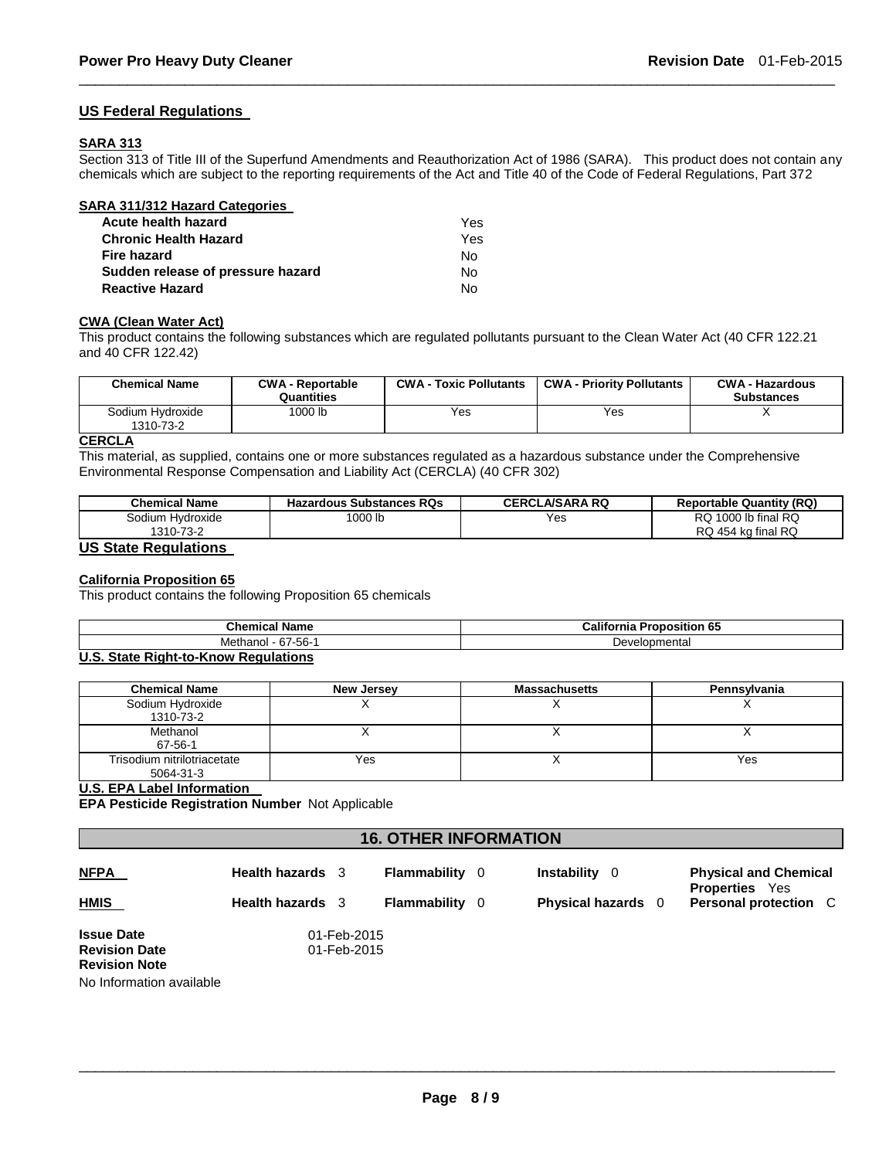#### **US Federal Regulations**

#### **SARA 313**

Section 313 of Title III of the Superfund Amendments and Reauthorization Act of 1986 (SARA). This product does not contain any chemicals which are subject to the reporting requirements of the Act and Title 40 of the Code of Federal Regulations, Part 372

\_\_\_\_\_\_\_\_\_\_\_\_\_\_\_\_\_\_\_\_\_\_\_\_\_\_\_\_\_\_\_\_\_\_\_\_\_\_\_\_\_\_\_\_\_\_\_\_\_\_\_\_\_\_\_\_\_\_\_\_\_\_\_\_\_\_\_\_\_\_\_\_\_\_\_\_\_\_\_\_\_\_\_\_\_\_\_\_\_\_\_\_\_

| <b>SARA 311/312 Hazard Categories</b> |     |
|---------------------------------------|-----|
| Acute health hazard                   | Yes |
| <b>Chronic Health Hazard</b>          | Yes |
| Fire hazard                           | N٥  |
| Sudden release of pressure hazard     | N٥  |
| <b>Reactive Hazard</b>                |     |

#### **CWA (Clean Water Act)**

This product contains the following substances which are regulated pollutants pursuant to the Clean Water Act (40 CFR 122.21 and 40 CFR 122.42)

| <b>Chemical Name</b>          | <b>CWA - Reportable</b><br>Quantities | <b>CWA - Toxic Pollutants</b> | <b>CWA - Priority Pollutants</b> | <b>CWA - Hazardous</b><br><b>Substances</b> |
|-------------------------------|---------------------------------------|-------------------------------|----------------------------------|---------------------------------------------|
| Sodium Hydroxide<br>1310-73-2 | 1000 lb                               | Yes                           | Yes                              |                                             |

#### **CERCLA**

This material, as supplied, contains one or more substances regulated as a hazardous substance under the Comprehensive Environmental Response Compensation and Liability Act (CERCLA) (40 CFR 302)

| <b>Chemical Name</b> | <b>Hazardous Substances RQs</b> | <b>CERCLA/SARA RQ</b> | <b>Reportable Quantity (RQ)</b> |
|----------------------|---------------------------------|-----------------------|---------------------------------|
| Sodium Hvdroxide     | 1000 lb                         | Yes                   | 1000 lb final RQ<br>RQ.         |
| 1310-73-2            |                                 |                       | RQ 454 kg final RQ              |

#### **US State Regulations**

#### **California Proposition 65**

This product contains the following Proposition 65 chemicals

| Cham.<br>Name<br>$\cdots$   | <br>. .<br>osition<br>-----<br>⊸alıt<br>-65<br>mı |  |  |
|-----------------------------|---------------------------------------------------|--|--|
| Methand<br>-67-56-<br>. וטו | Developmental<br>້                                |  |  |
| .<br>--                     |                                                   |  |  |

#### **U.S. State Right-to-Know Regulations**

| <b>Chemical Name</b>                     | New Jersey | <b>Massachusetts</b> | Pennsvlvania |
|------------------------------------------|------------|----------------------|--------------|
| Sodium Hydroxide<br>1310-73-2            |            |                      |              |
| Methanol<br>67-56-1                      |            |                      |              |
| Trisodium nitrilotriacetate<br>5064-31-3 | Yes        |                      | Yes          |

## **U.S. EPA Label Information**

**EPA Pesticide Registration Number** Not Applicable

## **16. OTHER INFORMATION**

| <b>NFPA</b><br><b>HMIS</b>                                                                    | <b>Health hazards</b> 3<br><b>Health hazards</b> 3 |                            | Flammability<br>Flammability | - 0<br>- 0 | <b>Instability</b><br>- 0<br><b>Physical hazards</b> 0 | <b>Physical and Chemical</b><br><b>Properties</b> Yes<br><b>Personal protection</b> C |
|-----------------------------------------------------------------------------------------------|----------------------------------------------------|----------------------------|------------------------------|------------|--------------------------------------------------------|---------------------------------------------------------------------------------------|
| <b>Issue Date</b><br><b>Revision Date</b><br><b>Revision Note</b><br>No Information available |                                                    | 01-Feb-2015<br>01-Feb-2015 |                              |            |                                                        |                                                                                       |